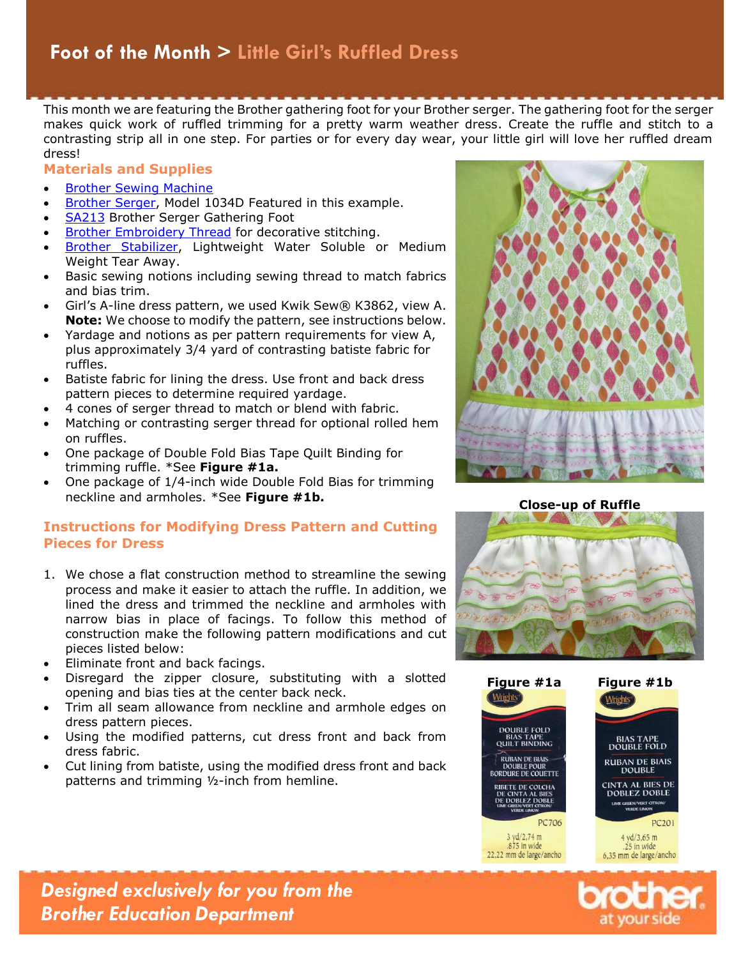This month we are featuring the Brother gathering foot for your Brother serger. The gathering foot for the serger makes quick work of ruffled trimming for a pretty warm weather dress. Create the ruffle and stitch to a contrasting strip all in one step. For parties or for every day wear, your little girl will love her ruffled dream dress!

#### **Materials and Supplies**

- Brother [Sewing Machine](http://www.brother-usa.com/homesewing/Products.aspx)
- [Brother Serger,](http://www.brother-usa.com/homesewing/ProductList.aspx?cat=sergers&ref=mega) Model 1034D Featured in this example.
- [SA213](http://www.brother-usa.com/Homesewing/Accessories/AccessoryDetail.aspx?R3AccessoryID=SA213) Brother Serger Gathering Foot
- [Brother Embroidery Thread](http://www.brother-usa.com/Homesewing/accessories/accessorylist.aspx?ACASCID=50&CatID=10) for decorative stitching.
- [Brother Stabilizer,](http://www.brother-usa.com/Homesewing/accessories/accessorylist.aspx?ACASCID=21&CatID=13) Lightweight Water Soluble or Medium Weight Tear Away.
- Basic sewing notions including sewing thread to match fabrics and bias trim.
- Girl's A-line dress pattern, we used Kwik Sew® K3862, view A. **Note:** We choose to modify the pattern, see instructions below.
- Yardage and notions as per pattern requirements for view A, plus approximately 3/4 yard of contrasting batiste fabric for ruffles.
- Batiste fabric for lining the dress. Use front and back dress pattern pieces to determine required yardage.
- 4 cones of serger thread to match or blend with fabric.
- Matching or contrasting serger thread for optional rolled hem on ruffles.
- One package of Double Fold Bias Tape Quilt Binding for trimming ruffle. \*See **Figure #1a.**
- One package of 1/4-inch wide Double Fold Bias for trimming neckline and armholes. \*See **Figure #1b.**

### **Instructions for Modifying Dress Pattern and Cutting Pieces for Dress**

- 1. We chose a flat construction method to streamline the sewing process and make it easier to attach the ruffle. In addition, we lined the dress and trimmed the neckline and armholes with narrow bias in place of facings. To follow this method of construction make the following pattern modifications and cut pieces listed below:
- Eliminate front and back facings.
- Disregard the zipper closure, substituting with a slotted opening and bias ties at the center back neck.
- Trim all seam allowance from neckline and armhole edges on dress pattern pieces.
- Using the modified patterns, cut dress front and back from dress fabric.
- Cut lining from batiste, using the modified dress front and back patterns and trimming ½-inch from hemline.









*Designed exclusively for you from the Brother Education Department*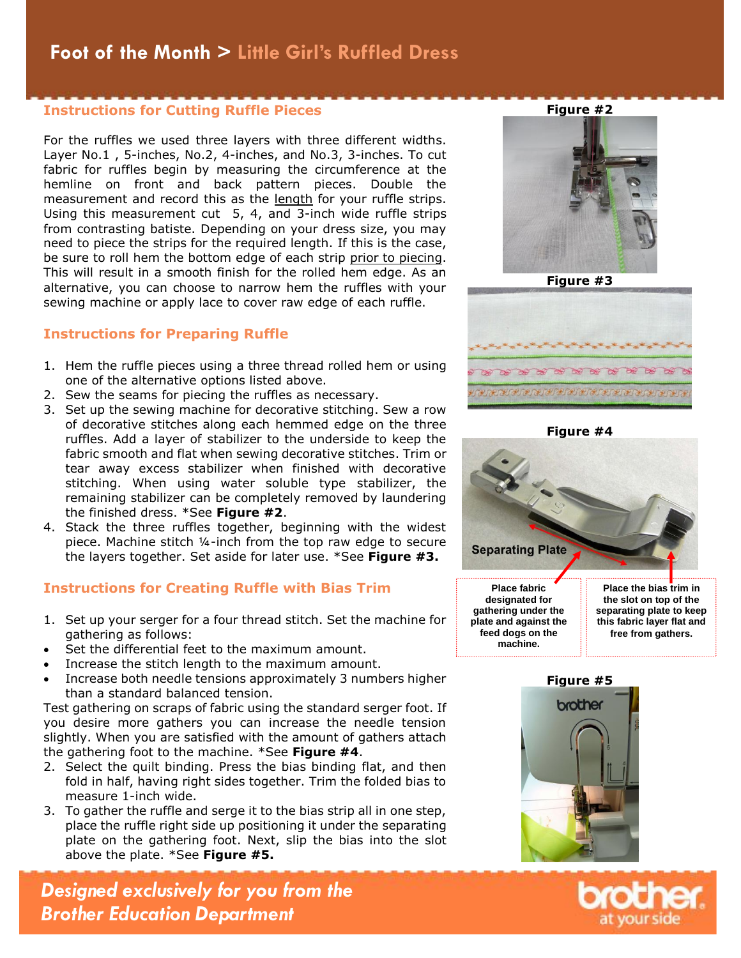## **Instructions for Cutting Ruffle Pieces**

For the ruffles we used three layers with three different widths. Layer No.1 , 5-inches, No.2, 4-inches, and No.3, 3-inches. To cut fabric for ruffles begin by measuring the circumference at the hemline on front and back pattern pieces. Double the measurement and record this as the length for your ruffle strips. Using this measurement cut 5, 4, and 3-inch wide ruffle strips from contrasting batiste. Depending on your dress size, you may need to piece the strips for the required length. If this is the case, be sure to roll hem the bottom edge of each strip prior to piecing. This will result in a smooth finish for the rolled hem edge. As an alternative, you can choose to narrow hem the ruffles with your sewing machine or apply lace to cover raw edge of each ruffle.

### **Instructions for Preparing Ruffle**

- 1. Hem the ruffle pieces using a three thread rolled hem or using one of the alternative options listed above.
- 2. Sew the seams for piecing the ruffles as necessary.
- 3. Set up the sewing machine for decorative stitching. Sew a row of decorative stitches along each hemmed edge on the three ruffles. Add a layer of stabilizer to the underside to keep the fabric smooth and flat when sewing decorative stitches. Trim or tear away excess stabilizer when finished with decorative stitching. When using water soluble type stabilizer, the remaining stabilizer can be completely removed by laundering the finished dress. \*See **Figure #2**.
- 4. Stack the three ruffles together, beginning with the widest piece. Machine stitch ¼-inch from the top raw edge to secure the layers together. Set aside for later use. \*See **Figure #3.**

### **Instructions for Creating Ruffle with Bias Trim**

- 1. Set up your serger for a four thread stitch. Set the machine for gathering as follows:
- Set the differential feet to the maximum amount.
- Increase the stitch length to the maximum amount.
- Increase both needle tensions approximately 3 numbers higher than a standard balanced tension.

Test gathering on scraps of fabric using the standard serger foot. If you desire more gathers you can increase the needle tension slightly. When you are satisfied with the amount of gathers attach the gathering foot to the machine. \*See **Figure #4**.

- 2. Select the quilt binding. Press the bias binding flat, and then fold in half, having right sides together. Trim the folded bias to measure 1-inch wide.
- 3. To gather the ruffle and serge it to the bias strip all in one step, place the ruffle right side up positioning it under the separating plate on the gathering foot. Next, slip the bias into the slot above the plate. \*See **Figure #5.**

*Designed exclusively for you from the Brother Education Department*





**Figure #4**





**feed dogs on the machine.**



**free from gathers.**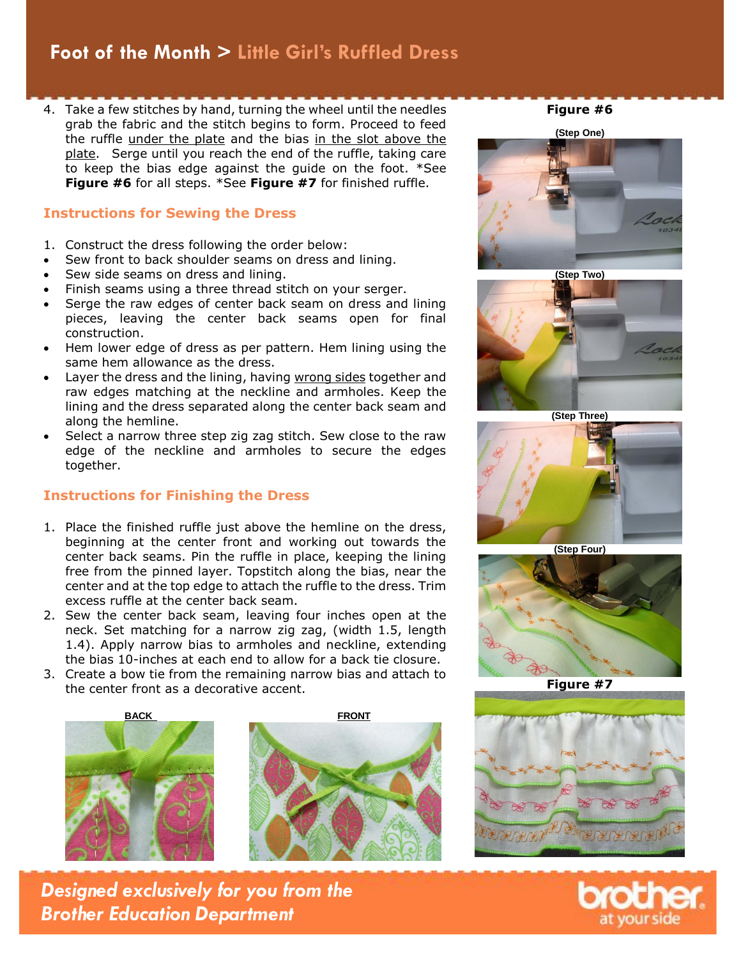## **Projects > Foot of the Month > Little Girl's Ruffled Dress**

4. Take a few stitches by hand, turning the wheel until the needles grab the fabric and the stitch begins to form. Proceed to feed the ruffle under the plate and the bias in the slot above the plate. Serge until you reach the end of the ruffle, taking care to keep the bias edge against the guide on the foot. \*See **Figure #6** for all steps. \*See **Figure #7** for finished ruffle.

### **Instructions for Sewing the Dress**

- 1. Construct the dress following the order below:
- Sew front to back shoulder seams on dress and lining.
- Sew side seams on dress and lining.
- Finish seams using a three thread stitch on your serger.
- Serge the raw edges of center back seam on dress and lining pieces, leaving the center back seams open for final construction.
- Hem lower edge of dress as per pattern. Hem lining using the same hem allowance as the dress.
- Layer the dress and the lining, having wrong sides together and raw edges matching at the neckline and armholes. Keep the lining and the dress separated along the center back seam and along the hemline.
- Select a narrow three step zig zag stitch. Sew close to the raw edge of the neckline and armholes to secure the edges together.

### **Instructions for Finishing the Dress**

- 1. Place the finished ruffle just above the hemline on the dress, beginning at the center front and working out towards the center back seams. Pin the ruffle in place, keeping the lining free from the pinned layer. Topstitch along the bias, near the center and at the top edge to attach the ruffle to the dress. Trim excess ruffle at the center back seam.
- 2. Sew the center back seam, leaving four inches open at the neck. Set matching for a narrow zig zag, (width 1.5, length 1.4). Apply narrow bias to armholes and neckline, extending the bias 10-inches at each end to allow for a back tie closure.
- 3. Create a bow tie from the remaining narrow bias and attach to the center front as a decorative accent.





*Designed exclusively for you from the Brother Education Department*

**Figure #6**





**(Step Three)**



**(Step Four)**



**Figure #7**